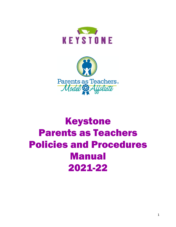



# Keystone Parents as Teachers Policies and Procedures Manual 2021-22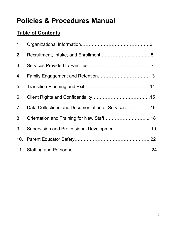## **Policies & Procedures Manual**

## **Table of Contents**

| 1 <sub>1</sub> |                                                  |  |
|----------------|--------------------------------------------------|--|
| 2.             |                                                  |  |
| 3.             |                                                  |  |
| 4.             |                                                  |  |
| 5.             |                                                  |  |
| 6.             |                                                  |  |
| 7 <sub>1</sub> | Data Collections and Documentation of Services16 |  |
| 8.             |                                                  |  |
| 9.             | Supervision and Professional Development19       |  |
|                |                                                  |  |
|                |                                                  |  |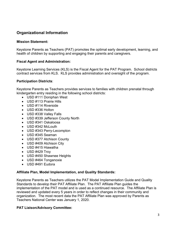## **Organizational Information**

#### **Mission Statement:**

Keystone Parents as Teachers (PAT) promotes the optimal early development, learning, and health of children by supporting and engaging their parents and caregivers.

#### **Fiscal Agent and Administration:**

Keystone Learning Services (KLS) is the Fiscal Agent for the PAT Program. School districts contract services from KLS. KLS provides administration and oversight of the program.

#### **Participation Districts**:

Keystone Parents as Teachers provides services to families with children prenatal through kindergarten entry residing in the following school districts:

- USD #111 Doniphan West
- USD #113 Prairie Hills
- USD #114 Riverside
- USD #336 Holton
- USD #338 Valley Falls
- USD #339 Jefferson County North
- USD #341 Oskaloosa
- USD #342 McLouth
- USD #343 Perry-Lecompton
- USD #345 Seaman
- USD #377 Atchison County
- USD #409 Atchison City
- USD #415 Hiawatha
- USD #429 Troy
- USD #450 Shawnee Heights
- USD #464 Tonganoxie
- USD #491 Eudora

#### **Affiliate Plan, Model Implementation, and Quality Standards:**

Keystone Parents as Teachers utilizes the PAT Model Implementation Guide and Quality Standards to develop their PAT Affiliate Plan. The PAT Affiliate Plan guides the implementation of the PAT model and is used as a continued resource. The Affiliate Plan is reviewed and updated every 5 years in order to reflect changes in their community and organization. The most recent data the PAT Affiliate Plan was approved by Parents as Teachers National Center was January 1, 2020.

## **PAT Liaison/Advisory Committee:**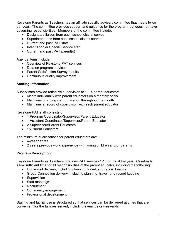Keystone Parents as Teachers has an affiliate specific advisory committee that meets twice per year. The committee provides support and guidance for the program, but does not have governing responsibilities. Members of the committee include:

- Designated liaison from each school district served
- Superintendents from each school district served
- Current and past PAT staff
- Infant/Toddler Special Service staff
- Current and past PAT parent(s)

Agenda items include:

- Overview of Keystone PAT services
- Data on program services
- Parent Satisfaction Survey results
- Continuous quality improvement

## **Staffing Information:**

Supervisors provide reflective supervision to  $1 - 4$  parent educators:

- Meets individually with parent educators on a monthly basis
- Maintains on-going communication throughout the month
- Maintains a record of supervision with each parent educator

Keystone PAT staff consists of:

- 1 Program Coordinator/Supervisor/Parent Educator
- 1 Assistant Coordinator/Supervisor/Parent Educator
- 2 Supervisors/Parent Educators
- 15 Parent Educators

The minimum qualifications for parent educators are:

- 4-year degree
- 2 years previous work experience with young children and/or parents

## **Program Description:**

Keystone Parents as Teachers provides PAT services 12 months of the year. Caseloads allow sufficient time for all responsibilities of the parent educator, including the following:

- Home visit delivery, including planning, travel, and record keeping
- Group Connection delivery, including planning, travel, and record keeping
- Supervision
- Staff meetings
- Recruitment
- Community engagement
- Professional development

Staffing and facility use is structured so that services can be delivered at times that are convenient for the families served, including evenings or weekends.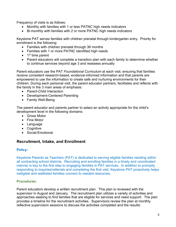Frequency of visits is as follows:

- Monthly with families with 1 or less PATNC high needs indicators
- Bi-monthly with families with 2 or more PATNC high needs indicators

Keystone PAT serves families with children prenatal through kindergarten entry. Priority for enrollment is the following:

- Families with children prenatal through 36 months
- Families with 1 or more PATNC identified high needs
- $\bullet$  1<sup>st</sup> time parent
- Parent educators will complete a transition plan with each family to determine whether to continue services beyond age 3 and reassess annually

Parent educators use the PAT *Foundational Curriculum* at each visit, ensuring that families receive consistent research-based, evidence-informed information and that parents are empowered to use the information to create safe and nurturing environments for their children. During each personal visit, the parent educator partners, facilitates and reflects with the family in the 3 main areas of emphasis:

- Parent-Child Interaction
- Development-Centered Parenting
- Family Well-Being

The parent educator and parents partner to select an activity appropriate for the child's development level in the following domains:

- Gross Motor
- Fine Motor
- Language
- Cognitive
- Social-Emotional

## **Recruitment, Intake, and Enrollment**

#### **Policy:**

Keystone Parents as Teachers (PAT) is dedicated to serving eligible families residing within all contracting school districts. Recruiting and enrolling families in a timely and coordinated manner is key to the first step to engaging families in PAT services. In addition to promptly responding to inquiries/referrals and completing the first visit, Keystone PAT proactively helps ineligible and waitlisted families connect to needed resources.

#### **Procedures:**

Parent educators develop a written recruitment plan. This plan is reviewed with the supervisor in August and January. The recruitment plan utilizes a variety of activities and approaches seeking to find families that are eligible for services and need support. The plan provides a timeline for the recruitment activities. Supervisors review the plan at monthly reflective supervision sessions to discuss the activities completed and the results: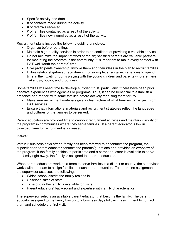- Specific activity and date
- $\bullet$  # of contacts made during the activity
- # of referrals received
- # of families contacted as a result of the activity
- $\bullet$  # of families newly enrolled as a result of the activity

Recruitment plans include the following guiding principles:

- Organize before recruiting.
- Maintain high-quality services in order to be confident of providing a valuable service.
- Do not minimize the impact of word of mouth; satisfied parents are valuable partners for marketing the program in the community. It is important to make every contact with PAT well worth the parents' time.
- Give participants ownership. Involve them and their ideas in the plan to recruit families.
- Utilize relationship-based recruitment. For example, arrange with agencies to spend time in their waiting rooms playing with the young children and parents who are there. Take toys, books, and brochures.

Some families will need time to develop sufficient trust, particularly if there have been prior negative experiences with agencies or programs. Thus, it can be beneficial to establish a presence and rapport with some families before actively recruiting them for PAT.

- Make sure recruitment materials give a clear picture of what families can expect from PAT services.
- Ensure that informational materials and recruitment strategies reflect the languages and cultures of the families to be served.

Parent educators are provided time to carryout recruitment activities and maintain visibility of the program in communities where they serve families. If a parent educator is low in caseload, time for recruitment is increased.

## **Intake:**

Within 2 business days after a family has been referred to or contacts the program, the supervisor or parent educator contacts the parents/guardians and provides an overview of the program. If the family decides to participate and a parent educator is available to serve the family right away, the family is assigned to a parent educator.

When parent educators work as a team to serve families in a district or county, the supervisor works with the team to assign families to each parent educator. To determine assignment, the supervisor assesses the following:

- Which school district the family resides in
- Caseload sizes of staff
- Time of day the family is available for visits
- Parent educators' background and expertise with family characteristics

The supervisor selects an available parent educator that best fits the family. The parent educator assigned to the family has up to 2 business days following assignment to contact them and schedule the first visit.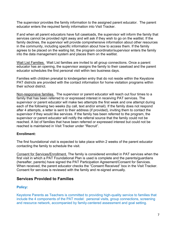The supervisor provides the family information to the assigned parent educator. The parent educator enters the required family information into Visit Tracker.

If and when all parent educators have full caseloads, the supervisor will inform the family that services cannot be provided right away and will ask if they wish to go on the waitlist. If the family declines, the supervisor will provide comprehensive information about other resources in the community, including specific information about how to access them. If the family agrees to be placed on the waiting list, the program coordinator/supervisor enters the family into the data management system and places them on the waitlist.

Wait List Families. Wait List families are invited to all group connections. Once a parent educator has an opening, the supervisor assigns the family to their caseload and the parent educator schedules the first personal visit within two business days.

Families with children prenatal to kindergarten entry that do not reside within the Keystone PAT districts are provided with the contact information for home visitation programs within their school district.

Non-responsive families. The supervisor or parent educator will reach out four times to a family that has been referred to or expressed interest in receiving PAT services. The supervisor or parent educator will make two attempts the first week and one attempt during each of the following two weeks (by call, text and/or email). If the family does not respond after 4 attempts, a letter is sent to their address (if provided), inviting them to contact the supervisor if they would like services. If the family has been referred to the program, the supervisor or parent educator will notify the referral source that the family could not be reached. A list of families that have been referred or expressed interest but could not be reached is maintained in Visit Tracker under "Recruit".

## **Enrollment:**

The first foundational visit is expected to take place within 2 weeks of the parent educator contacting the family to schedule the visit.

Consent for Services/Enrollment. The family is considered enrolled in PAT services when the first visit in which a PAT Foundational Plan is used is complete and the parents/guardians (hereafter, parents) have signed the PAT Participation Agreement/Consent for Services. When received, the parent educator checks the "Consent Received" box in the Visit Tracker. Consent for services is reviewed with the family and re-signed annually.

## **Services Provided to Families**

## **Policy:**

Keystone Parents as Teachers is committed to providing high-quality service to families that include the 4 components of the PAT model: personal visits, group connections, screening and resource network, accompanied by family-centered assessment and goal setting.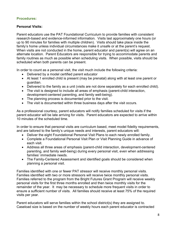## **Procedures:**

## **Personal Visits:**

Parent educators use the PAT Foundational Curriculum to provide families with consistent research-based and evidence-informed information. Visits last approximately one hours (or up to 90 minutes for families with multiple children). Visits should take place inside the family's home unless individual circumstances make it unsafe or at the parent's request. When visits are not conducted in the home, parent educator and parent(s) will agree on an alternate location. Parent Educators are responsible for trying to accommodate parents and family routines as much as possible when scheduling visits. When possible, visits should be scheduled when both parents can be present.

In order to count as a personal visit, the visit much include the following criteria:

- Delivered by a model certified parent educator
- At least 1 enrolled child is present (may be prenatal) along with at least one parent or guardian.
- Delivered to the family as a unit (visits are not done separately for each enrolled child).
- The visit is designed to include all areas of emphasis (parent-child interaction, development-centered parenting, and family well-being).
- The planning process is documented prior to the visit.
- The visit is documented within three business days after the visit occurs.

As a professional courtesy, parent educators will notify families scheduled for visits if the parent educator will be late arriving for visits. Parent educators are expected to arrive within 10 minutes of the scheduled time.

In order to ensure that personal visits are curriculum based, meet model fidelity requirements, and are tailored to the family's unique needs and interests, parent educators will:

- Deliver the eight Foundational Personal Visit Plans to each newly enrolled family.
- Complete a Foundational Personal Visit Plan or Visit Planning Guide in advance of each visit.
- Address all three areas of emphasis (parent-child interaction, development-centered parenting, and family well-being) during every personal visit, even when addressing families' immediate needs.
- The Family-Centered Assessment and identified goals should be considered when planning a personal visit.

Families identified with one or fewer PAT stressor will receive monthly personal visits. Families identified with two or more stressors will receive twice monthly personal visits. Families referred to the program from the Bright Futures Grant Program will receive weekly personal visits for the first three months enrolled and then twice monthly visits for the remainder of the year. It may be necessary to schedule more frequent visits in order to ensure a sufficient number of visits. All families should receive at least 75% of the required visits per year.

Parent educators will serve families within the school district(s) they are assigned to. Caseload size is based on the number of weekly hours each parent educator is contracted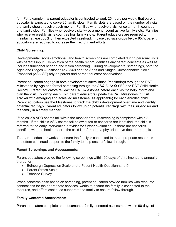for. For example, if a parent educator is contracted to work 25 hours per week, that parent educator is expected to serve 25 family slots. Family slots are based on the number of visits the family should receive each month. Families who receive a visit once a month count as one family slot. Families who receive visits twice a month count as two family slots. Families who receive weekly visits count as four family slots. Parent educators are required to maintain at least 85% of their expected caseload. If caseload size drops below 85%, parent educators are required to increase their recruitment efforts.

## **Child Screening:**

Developmental, social-emotional, and health screenings are completed during personal visits with parents input. Completion of the health record identifies any parent concerns as well as includes functional hearing and vision screening. During developmental screenings, both the Ages and Stages Questionnaire (ASQ) and the Ages and Stages Questionnaire: Social Emotional (ASQ:SE) rely on parent and parent educator observations

Parent educators engage in both development surveillance (monitoring) through the PAT Milestones by Age and formal screening through the ASQ-3, ASQ-SE2 and PAT Child Health Record. Parent educators review the PAT milestones before each visit to help inform and plan the visit. Following each visit, parent educators update the PAT Milestones in Visit Tracker with emerging and achieved milestones (as applicable) for each enrolled child. Parent educators use the Milestones to track the child's development over time and identify potential red flags. Parent educators follow up on potential red flags with their supervisor and the family in a timely manner.

If the child's ASQ scores fall within the monitor area, rescreening is completed within 3 months. If the child's ASQ scores fall below cutoff or concerns are identified, the child is referred to the early intervention provider for further evaluation. If there are concerns identified with the health record, the child is referred to a physician, eye doctor, or dentist.

The parent educator works to ensure the family is connected to the appropriate resources and offers continued support to the family to help ensure follow through.

## **Parent Screenings and Assessments:**

Parent educators provide the following screenings within 90 days of enrollment and annually thereafter:

- Edinburgh Depression Scale or the Patient Health Questionnaire-9
- Parent Stress Scale
- Tobacco Survey

When concerns arise based on screening, parent educators provide families with resource connections for the appropriate services, works to ensure the family is connected to the resource, and offers continued support to the family to ensure follow through.

## **Family-Centered Assessment:**

Parent educators complete and document a family-centered assessment within 90 days of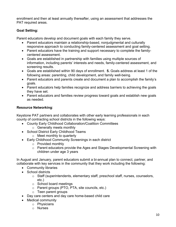enrollment and then at least annually thereafter, using an assessment that addresses the PAT required areas.

## **Goal Setting:**

Parent educators develop and document goals with each family they serve.

- Parent educators maintain a relationship-based, nonjudgmental and culturally responsive approach to conducting family-centered assessment and goal setting.
- Parent educators have the training and support necessary to complete the familycentered assessment.
- Goals are established in partnership with families using multiple sources of information, including parents' interests and needs, family-centered assessment, and screening results.
- Goals are established within 90 days of enrollment. **5.** Goals address at least 1 of the following areas: parenting, child development, and family well-being.
- Parent educators and parents create and document a plan to accomplish the family's goals.
- Parent educators help families recognize and address barriers to achieving the goals they have set.
- Parent educators and families review progress toward goals and establish new goals as needed.

## **Resource Networking**:

Keystone PAT partners and collaborates with other early learning professionals in each county of contracting school districts in the following ways:

- County Early Childhood Collaboration/Coalition Committees
	- o Generally meets monthly
- School District Early Childhood Teams
	- o Meet monthly to quarterly
- Early Childhood Community Screenings in each district
	- o Provided monthly
	- o Parent educators provide the Ages and Stages Developmental Screening with children under age 3 years

In August and January, parent educators submit a bi-annual plan to connect, partner, and collaborate with key services in the community that they work including the following:

- Community libraries
- School districts
	- o Staff (superintendents, elementary staff, preschool staff, nurses, counselors, etc.)
	- o School board meetings
	- o Parent groups (PTO, PTA, site councils, etc.)
	- o Teen parent groups
- Day care centers and day care home-based child care
- Medical community
	- o Physicians
	- o Nurses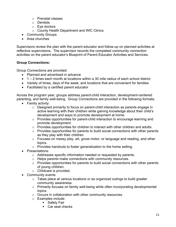- o Prenatal classes
- o Dentists
- o Eye doctors
- o County Health Department and WIC Clinics
- Community Groups
- Area churches

Supervisors review the plan with the parent educator and follow-up on planned activities at reflective supervisions. The supervisor records the completed community connection activities on the parent educator's Blueprint of Parent Educator Activities and Services.

## **Group Connections:**

Group Connections are provided:

- Planned and advertised in advance
- $\bullet$  1 2 times each month at locations within a 30 mile radius of each school district
- Variety of times, days of the week, and locations that are convenient for families
- Facilitated by a certified parent educator

Across the program year, groups address parent-child interaction, development-centered parenting, and family well-being. Group Connections are provided in the following formats:

- Family activity:
	- o Designed primarily to focus on parent-child interaction as parents engage in active learning with their children while gaining knowledge about their child's development and ways to promote development at home.
	- o Provides opportunities for parent-child interaction to encourage learning and promote development.
	- o Provides opportunities for children to interact with other children and adults.
	- $\circ$  Provides opportunities for parents to build social connections with other parents as they play with their children.
	- o Focuses on messy play, art, gross motor, or language and reading, and other topics.
	- o Provides handouts to foster generalization to the home setting.
- Presentations:
	- o Addresses specific information needed or requested by parents.
	- o Helps parents make connections with community resources.
	- o Provides opportunities for parents to build social connections with other parents of young children.
	- o Childcare is provided.
- Community events
	- o Takes place at various locations or as organized outings to build greater community awareness.
	- o Primarily focuses on family well-being while often incorporating developmental topics.
	- o Occurs in collaboration with other community resources.
	- o Examples include:
		- Safety Fair
			- Car seat checks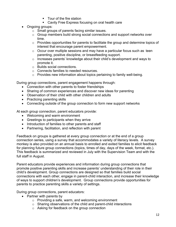- Tour of the fire station
- Cavity Free Express focusing on oral health care
- Ongoing groups:
	- o Small groups of parents facing similar issues.
	- o Group members build strong social connections and support networks over time.
	- o Provides opportunities for parents to facilitate the group and determine topics of interest that encourage parent empowerment.
	- o Occur over multiple sessions and may have a particular focus such as teen parenting, positive discipline, or breastfeeding support.
	- $\circ$  Increases parents' knowledge about their child's development and ways to promote it.
	- o Builds social connections.
	- o Connects families to needed resources.
	- o Provides new information about topics pertaining to family well-being.

During group connections, parent engagement happens through:

- Connection with other parents to foster friendships
- Sharing of common experiences and discover new ideas for parenting
- Observation of their child with other children and adults
- Practicing parenting skills
- Connecting outside of the group connection to form new support networks

At each group connection, parent educators provide:

- Welcoming and warm environment
- Greetings to participants when they arrive
- Introduction of families to other parents and staff
- Partnering, facilitation, and reflection with parent

Feedback on groups is gathered at every group connection or at the end of a group connection series, using a survey that accommodates a variety of literacy levels. A survey monkey is also provided on an annual basis to enrolled and exited families to elicit feedback for planning future group connections (topics, times of day, days of the week, format, etc.). This feedback is summarized and reviewed in July with the Supervision Team and with the full staff in August.

Parent educators provide experiences and information during group connections that promote positive parenting skills and increase parents' understanding of their role in their child's development. Group connections are designed so that families build social connections with each other, engage in parent-child interaction, and increase their knowledge of ways to support children's development. Group connections provide opportunities for parents to practice parenting skills a variety of settings.

During group connections, parent educators:

- Partner with parents by
	- o Providing a safe, warm, and welcoming environment
	- o Sharing observations of the child and parent-child interactions
	- o Asking for feedback on the group connection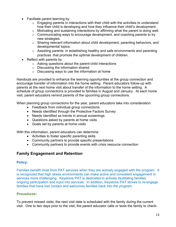- Facilitate parent learning by
	- $\circ$  Engaging parents in interactions with their child with the activities to understand how their child is developing and how they influence their child's development.
	- o Motivating and sustaining interactions by affirming what the parent is doing well.
	- o Communicating ways to encourage development, and coaching parents to try new strategies.
	- o Sharing relevant information about child development, parenting behaviors, and developmental topics.
	- o Assisting parents in establishing healthy and safe environments and parenting practices that promote the optimal development of children.
- Reflect with parents by
	- o Asking questions about the parent-child interactions
	- o Discussing the information shared
	- $\circ$  Discussing ways to use the information at home

Handouts are provided to enhance the learning opportunities at the group connection and encourage transfer of information into the home setting. Parent educators follow-up with parents at the next home visit about transfer of the information to the home setting. A schedule of group connections is provided to families in August and January. At each home visit, parent educators remind parents of the upcoming group connections.

When planning group connections for the year, parent educators take into consideration:

- Feedback from individual group connections
- Needs identified through the Protective Factors Survey
- Needs identified as trends in annual screenings
- Questions asked by parents at home visits
- Goals set by parents at home visits

With this information, parent educators can determine

- Activities to foster specific parenting skills
- Community partners to provide specific presentations
- Community partners to provide events with crisis resource connection

## **Family Engagement and Retention**

#### **Policy:**

Families benefit most from PAT services when they are actively engaged with the program. It is recognized that high stress environments can make active and consistent engagement in services more challenging. Keystone PAT is dedicated to actively facilitating families' ongoing participation and input into services. In addition, Keystone PAT strives to re-engage families that have lost contact and welcomes families back into the program.

## **Procedures:**

To prevent missed visits, the next visit date is scheduled with the family during the current visit. One to two days prior to the visit, the parent educator calls or texts the family to check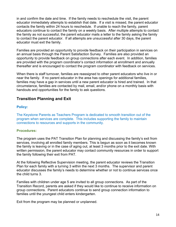in and confirm the date and time. If the family needs to reschedule the visit, the parent educator immediately attempts to establish that date. If a visit is missed, the parent educator contacts the family within 24 hours to reschedule. If unable to reach the family, parent educators continue to contact the family on a weekly basis. After multiple attempts to contact the family as not successful, the parent educator mails a letter to the family asking the family to contact the parent educator. If all attempts are unsuccessful after 30 days, the parent educator must exit the family.

Families are provided an opportunity to provide feedback on their participation in services on an annual basis through the Parent Satisfaction Survey. Families are also provided an opportunity to provide feedback on group connections after each event. In addition, families are provided with the program coordinator's contact information at enrollment and annually thereafter and is encouraged to contact the program coordinator with feedback on services.

When there is staff turnover, families are reassigned to other parent educators who live in or near the family. If no parent educator in the area has openings for additional families, families may have a gap in services until a new parent educator is hired and trained. In that circumstance, families are contacted by mail, email, and/or phone on a monthly basis with handouts and opportunities for the family to ask questions.

## **Transition Planning and Exit**

#### **Policy:**

The Keystone Parents as Teachers Program is dedicated to smooth transition out of the program when services are complete. This includes supporting the family to maintain connections to resources and supports in the community.

#### **Procedures:**

The program uses the PAT Transition Plan for planning and discussing the family's exit from services, involving all enrolled family members. This is begun as soon as it becomes known the family is leaving or in the case of aging out, at least 3 months prior to the exit date. With written permission, the parent educator may contact community resources in order to support the family following their exit from PAT.

At the following Reflective Supervision meeting, the parent educator reviews the Transition Plan for each family with a turning 3 within the next 3 months. The supervisor and parent educator discusses the family's needs to determine whether or not to continue services once the child turns 3.

Families with children under age 5 are invited to all group connections. As part of the Transition Record, parents are asked if they would like to continue to receive information on group connections. Parent educators continue to send group connection information to families until the youngest child enters kindergarten.

Exit from the program may be planned or unplanned.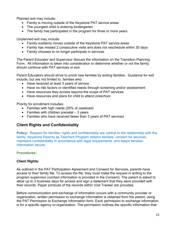Planned exit may include:

- Family is moving outside of the Keystone PAT service areas
- The voungest child is entering kindergarten
- The family has participated in the program for three or more years

Unplanned exit may include:

- Family suddenly moves outside of the Keystone PAT service areas
- Family has missed 2 consecutive visits and does not reschedule within 30 days
- Family chooses to no longer participate in services

The Parent Educator and Supervisor discuss the information on the Transition Planning Form. All information is taken into consideration to determine whether or not the family should continue with PAT services or exit.

Parent Educators should strive to enroll new families by exiting families. Guidance for exit include, but are not limited to, families who:

- Have received at least 3 years of service
- Have no risk factors or identified needs through screening and/or assessment
- Have resources they access beyond the scope of PAT services
- Have resources and plans for child to attend preschool

Priority for enrollment includes:

- Families with high needs (20% of caseload)
- Families with children prenatal  $-3$  years
- Families who have received fewer than 3 years of PAT services

## **Client Rights and Confidentiality**

**Policy:** Respect for families' rights and confidentiality are central to the relationship with the family. Keystone Parents as Teachers Program obtains families' consent for services, maintains confidentiality in accordance with legal requirements, and keeps families' information secure.

## **Procedures:**

## **Client Rights:**

As outlined in the PAT Participation Agreement and Consent for Services, parents have access to their family file. To access the file, they must make the request in writing to the program supervisor (contact information is provided in the Consent). The parent is asked to allow up to 3 business days for access and sign a statement that they were provided with their records. Paper printouts of the records within Visit Tracker are provided.

Before communication and exchange of information occurs with a community provider or organization, written permission to exchange information is obtained from the parent, using the PAT Permission to Exchange Information form. Each permission to exchange information is for a specific agency or organization. The permission outlines the specific information that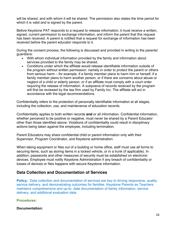will be shared, and with whom it will be shared. The permission also states the time period for which it is valid and is signed by the parent.

Before Keystone PAT responds to a request to release information, it must receive a written, signed, current permission to exchange information, and inform the parent that this request has been received. A parent is notified that a request for exchange of information has been received before the parent educator responds to it.

During the consent process, the following is discussed and provided in writing to the parents/ guardians:

- With whom individual information provided by the family and information about services provided to the family may be shared.
- Conditions under which the affiliate would release identifiable information outside of the program without written permission: namely in order to protect the parent or others from serious harm – for example, if a family member plans to harm him or herself, if a family member plans to harm another person, or if there are concerns about abuse or neglect of a child or elderly person, or if an affiliate must comply with a court order requiring the release of information. A subpoena of records received by the program will first be reviewed by the law firm used by Family Inc. The affiliate will act in accordance with the legal recommendations.

Confidentiality refers to the protection of personally identifiable information at all stages, including the collection, use, and maintenance of education records.

Confidentiality applies to both written records **and** or all information. Confidential information, whether perceived to be positive or negative, must never be shared by a Parent Educator other than those identified above. Violations of confidentiality could result in disciplinary actions being taken against the employee, including termination.

Parent Educators may share confidential child or parent information only with their Supervisor, Program Coordinator, and Keystone administration.

When taking equipment or files out of a building or home office, staff must use all forms to securing items, such as storing items in a locked vehicle, or in a trunk (if applicable). In addition, passwords and other measures of security must be established on electronic devices. Employee must notify Keystone Administration if any breach of confidentiality or losses of devices or files happens with secure Keystone information.

## **Data Collection and Documentation of Services**

**Policy:** Data collection and documentation of services are key to driving responsive, quality service delivery, and demonstrating outcomes for families. Keystone Parents as Teachers maintains comprehensive and up-to- date documentation of family information, service delivery, and additional evaluation data.

**Procedures:**

**Documentation:**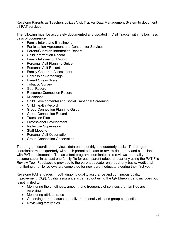Keystone Parents as Teachers utilizes Visit Tracker Data Management System to document all PAT services.

The following must be accurately documented and updated in Visit Tracker within 3 business days of occurrence:

- Family Intake and Enrollment
- Participation Agreement and Consent for Services
- Parent/Guardian Information Record
- Child Information Record
- Family Information Record
- Personal Visit Planning Guide
- Personal Visit Record
- Family-Centered Assessment
- Depression Screenings
- Parent Stress Scale
- Tobacco Survey
- Goal Record
- Resource Connection Record
- Milestones
- Child Developmental and Social Emotional Screening
- Child Health Record
- Group Connection Planning Guide
- Group Connection Record
- Transition Plan
- Professional Development
- Reflective Supervision
- Staff Meeting
- Personal Visit Observation
- Group Connection Observation

The program coordinator reviews data on a monthly and quarterly basis. The program coordinator meets quarterly with each parent educator to review data entry and compliance with PAT requirements. The assistant program coordinator also reviews the quality of documentation in at least one family file for each parent educator quarterly using the PAT File Review Tool. Feedback is provided to the parent educator on a quarterly basis. Additional monitoring and file reviews are completed for new parent educators during their first year.

Keystone PAT engages in both ongoing quality assurance and continuous quality improvement (CQI). Quality assurance is carried out using the QA Blueprint and includes but is not limited to:

- Monitoring the timeliness, amount, and frequency of services that families are receiving
- Monitoring attrition rates
- Observing parent educators deliver personal visits and group connections
- Reviewing family files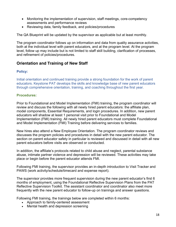- Monitoring the implementation of supervision, staff meetings, core-competency assessments and performance reviews
- Reviewing data, family feedback, and policies/procedures

The QA Blueprint will be updated by the supervisor as applicable but at least monthly.

The program coordinator follows up on information and data from quality assurance activities, both at the individual level with parent educators, and at the program level. At the program level, follow up may include but is not limited to staff skill building, clarification of processes, and refinement of policies/procedures.

## **Orientation and Training of New Staff**

## **Policy:**

Initial orientation and continued training provide a strong foundation for the work of parent educators. Keystone PAT develops the skills and knowledge base of new parent educators through comprehensive orientation, training, and coaching throughout the first year.

#### **Procedures:**

Prior to Foundational and Model Implementation (FMI) training, the program coordinator will review and discuss the following with all newly hired parent educators: the affiliate plan, model components, Essential Requirements, and login procedures. In addition, new parent educators will shadow at least 1 personal visit prior to Foundational and Model Implementation (FMI) training. All newly hired parent educators must complete Foundational and Model Implementation (FMI) Training before delivering services to families.

New hires also attend a New Employee Orientation. The program coordinator reviews and discusses the program policies and procedures in detail with the new parent educator. The section on parent educator safety in particular is reviewed and discussed in detail with all new parent educators before visits are observed or conducted.

In addition, the affiliate's protocols related to child abuse and neglect, parental substance abuse, intimate partner violence and depression will be reviewed. These activities may take place or begin before the parent educator attends FMI.

Following FMI training, the supervisor provides an in-depth introduction to Visit Tracker and PAWS (work activity/schedule/timecard and expense report).

The supervisor provides more frequent supervision during the new parent educator's first 6 months of employment, using the Foundational Reflective Supervision Plans from the PAT Reflective Supervision Toolkit. The assistant coordinator and coordinator also meet more frequently with the new parent educator to follow-up on trainings and answer questions.

Following FMI training, the trainings below are completed within 6 months:

- Approach to family-centered assessment
- Mental health and depression screening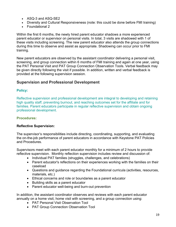- ASQ-3 and ASQ-SE2
- Diversity and Cultural Responsiveness (note: this could be done before FMI training)
- Foundational 2

Within the first 6 months, the newly hired parent educator shadows a more experienced parent educator or supervisor on personal visits. In total, 3 visits are shadowed with 1 of these visits including screening. The new parent educator also attends the group connections during this time to observe and assist as appropriate. Shadowing can occur prior to FMI training.

New parent educators are observed by the assistant coordinator delivering a personal visit, screening, and group connection within 6 months of FMI training and again at one year, using the PAT Personal Visit and PAT Group Connection Observation Tools. Verbal feedback may be given directly following the visit if possible. In addition, written and verbal feedback is provided at the following supervision session.

## **Supervision and Professional Development**

## **Policy:**

Reflective supervision and professional development are integral to developing and retaining high quality staff, preventing burnout, and reaching outcomes set for the affiliate and for families. Parent educators participate in regular reflective supervision and obtain ongoing professional development.

## **Procedures:**

## **Reflective Supervision:**

The supervisor's responsibilities include directing, coordinating, supporting, and evaluating the on-the-job performance of parent educators in accordance with Keystone PAT Policies and Procedures.

Supervisors meet with each parent educator monthly for a minimum of 2 hours to provide reflective supervision. Monthly reflection supervision includes review and discussion of:

- Individual PAT families (struggles, challenges, and celebrations)
- Parent educator's reflections on their experiences working with the families on their caseload
- Questions and guidance regarding the Foundational curricula (activities, resources, materials, etc.)
- Ethical concerns and role or boundaries as a parent educator
- Building skills as a parent educator
- Parent educator well-being and burn-out prevention

In addition, the assistant coordinator observes and reviews with each parent educator annually on a home visit, home visit with screening, and a group connection using:

- PAT Personal Visit Observation Tool
- PAT Group Connection Observation Tool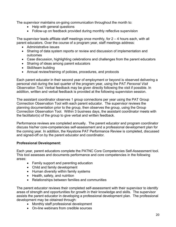The supervisor maintains on-going communication throughout the month to:

- Help with general questions
- Follow-up on feedback provided during monthly reflective supervision

The supervisor leads affiliate staff meetings once monthly, for  $2 - 4$  hours each, with all parent educators. Over the course of a program year, staff meetings address:

- Administrative issues
- Sharing of data system reports or review and discussion of implementation and outcomes
- Case discussion, highlighting celebrations and challenges from the parent educators
- Sharing of ideas among parent educators
- Skill/team building
- Annual review/training of policies, procedures, and protocols

Each parent educator in their second year of employment or beyond is observed delivering a personal visit during the last quarter of the program year, using the PAT *Personal Visit Observation Tool*. Verbal feedback may be given directly following the visit if possible. In addition, written and verbal feedback is provided at the following supervision session.

The assistant coordinator observes 1 group connections per year using the PAT Group Connection Observation Tool with each parent educator. The supervisor reviews the planning documentation prior to the group, then observes the group, using the Group Connection Observation Tool. Within 3 business days, the assistant coordinator meets with the facilitator(s) of the group to give verbal and written feedback.

Performance reviews are completed annually. The parent educator and program coordinator discuss his/her core-competencies self-assessment and a professional development plan for the coming year. In addition, the Keystone PAT Performance Review is completed, discussed and signed-off on by the parent educator and coordinator.

## **Professional Development:**

Each year, parent educators complete the PATNC Core Competencies Self-Assessment tool. This tool assesses and documents performance and core competencies in the following areas:

- Family support and parenting education
- Child and family development
- Human diversity within family systems
- Health, safety, and nutrition
- Relationships between families and communities

The parent educator reviews their completed self-assessment with their supervisor to identify areas of strength and opportunities for growth in their knowledge and skills. The supervisor assists the parent educator in developing a professional development plan. The professional development may be obtained through:

- Monthly staff professional development
- On-line webinars from credible sources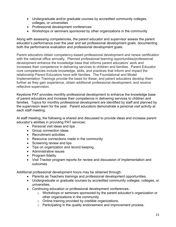- Undergraduate and/or graduate courses by accredited community colleges, colleges, or universities
- Professional development conferences
- Workshops or seminars sponsored by other organizations in the community

Along with assessing competencies, the parent educator and supervisor assess the parent educator's performance over the year and set professional development goals, documenting both the performance evaluation and professional development goals.

Parent educators obtain competency-based professional development and renew certification with the national office annually. Planned professional learning opportunities/professional development enhance the knowledge base that informs parent educators' work and increases their competence in delivering services to children and families. Parent Educator core competencies include knowledge, skills, and practices that inform and impact the relationship Parent Educators have with families. The Foundational and Model Implementation Trainings provide the basis for these, and parent educators develop them further as they gain experience, obtain additional professional development, and receive reflective supervision.

Keystone PAT provides monthly professional development to enhance the knowledge base of parent educators and increase their competence in delivering services to children and families. Topics for monthly professional development are identified by staff and planned by the supervision team for the year. Parent educators demonstrate a personal visit activity at each staff meeting.

At staff meeting, the following is shared and discussed to provide ideas and increase parent educator's abilities in providing PAT services:

- Personal visit ideas and tips
- Group connection ideas
- Recruitment activities
- Resource connections made in the community
- Screening review and tips
- Tips on organization and record keeping
- Administrative issues
- Program fidelity
- Visit Tracker program reports for review and discussion of implementation and outcomes

Additional professional development hours may be obtained through:

- Parents as Teachers trainings and professional development opportunities.
- Undergraduate or graduate courses by accredited community colleges, colleges, or universities.
- Continuing education or professional development conferences.
	- o Workshops or seminars sponsored by the parent educator's organization or other organizations in the community.
	- o Online training provided by credible organizations.
	- o Participating in the quality endorsement and improvement process.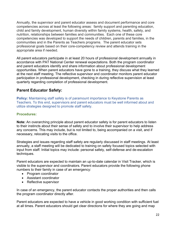Annually, the supervisor and parent educator assess and document performance and core competencies across at least the following areas: family support and parenting education, child and family development, human diversity within family systems, health, safety, and nutrition, relationships between families and communities. Each one of these core competencies was developed to support the needs of children, parents and families, in the communities and in the Parents as Teachers programs. The parent educator sets professional goals based on their core-competency review and attends training in the appropriate area if needed.

All parent educators participate in at least 20 hours of professional development annually in accordance with PAT National Center renewal expectations. Both the program coordinator and parent educators identify and share information about professional development opportunities. When parent educators have gone to a training, they discuss what they learned at the next staff meeting. The reflective supervisor and coordinator monitors parent educator participation in professional development, checking in during reflective supervision at least quarterly regarding completion of professional development.

## **Parent Educator Safety:**

**Policy:** Maintaining staff safety is of paramount importance to Keystone Parents as Teachers. To this end, supervisors and parent educators must be well informed about and utilize strategies designed to promote staff safety.

## **Procedures:**

**Note:** An overarching principle about parent educator safety is for parent educators to listen to their instincts about their sense of safety and to involve their supervisor to help address any concerns. This may include, but is not limited to, being accompanied on a visit, and if necessary, relocating visits to the office.

Strategies and issues regarding staff safety are regularly discussed in staff meetings. At least annually, a staff meeting will be dedicated to training on safety focused topics selected with input from staff. Initial topics may include: personal safety, self-defense and de-escalation techniques.

Parent educators are expected to maintain an up-to-date calendar in Visit Tracker, which is visible to the supervisor and coordinators. Parent educators provide the following phone numbers to their family in case of an emergency:

- Program coordinator
- Assistant coordinator
- Reflective supervisor

In case of an emergency, the parent educator contacts the proper authorities and then calls the program coordinator directly after.

Parent educators are expected to have a vehicle in good working condition with sufficient fuel at all times. Parent educators should get clear directions for where they are going and map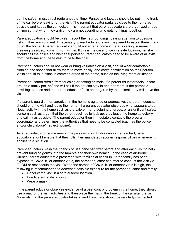out the safest, most direct route ahead of time. Purses and laptops should be put in the trunk of the car before leaving for the visit. The parent educator parks as close to the home as possible and keeps the car locked. It is important that parent educators are organized ahead of time so that when they arrive they are not spending time getting things together.

Parent educators should be vigilant about their surroundings, paying attention to possible risks in their environment. If necessary, parent educators ask the parent to escort them in and out of the home. A parent educator should not enter a home if there is yelling, screaming, breaking glass, etc. coming from within. If this is the case, once in a safe location, he/ she should call the police and his/her supervisor. Parent educators need to be aware of all exits from the home and the fastest route to their car.

Parent educators should not wear or bring valuables on a visit, should wear comfortable clothing and shoes that allow them to move easily, and carry identification on their person. Visits should take place in common areas of the home, such as the living room or kitchen.

Parent educators refrain from touching or petting animals. If a parent educator feels unsafe around a family pet, he/ she will ask if the pet can stay in another room. If the parent is unwilling to do so and the parent educator feels endangered by the animal, they will leave the visit.

If a parent, guardian, or caregiver in the home is agitated or aggressive, the parent educator should end the visit and leave the home. If a parent educator observes what appears to be illegal activity in the home such as the sale or manufacturing of drugs, or a significant safety concern such as a gun that the parent declines to lock up, they leave the home as quickly and calmly as possible. The parent educator then immediately contacts the program coordinator and determines the authorities that need to be contacted (such as the police and/or child abuse/ neglect hotline).

As a reminder, if for some reason the program coordinator cannot be reached, parent educators should ensure that they fulfill their mandated reporter responsibilities whenever it applies to a situation.

Parent educators wash their hands or use hand sanitizer before and after each visit to help prevent bringing germs into the family's and their own homes. In the case of air-borne viruses, parent educators a prescreen with families at check-in. If the family has been exposed to Covid-19 or another virus, the parent educator can offer to conduct the visit via ZOOM or reschedule the visit. When the spread of Covid-19 or another virus is high, the following is recommended to decrease possible exposure for the parent educator and family:

- Conduct the visit in a safe outdoor location
- Practice social distancing
- Wear a mask

If the parent educator observes evidence of a pest control problem in the home, they should use a mat for the visit activities and then place the mat in the trunk of the car after the visit. Materials that the parent educator takes to and from visits should be regularly disinfected.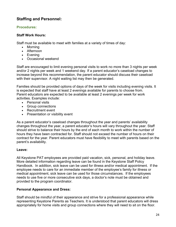## **Staffing and Personnel:**

## **Procedures:**

## **Staff Work Hours:**

Staff must be available to meet with families at a variety of times of day:

- Morning
- Afternoon
- Evening
- Occasional weekend

Staff are encouraged to limit evening personal visits to work no more than 3 nights per week and/or 2 nights per week and 1 weekend day. If a parent educator's caseload changes to increase beyond this recommendation, the parent educator should discuss their caseload with their supervisor. A night waiting list may then be generated.

Families should be provided options of days of the week for visits including evening visits. It is expected that staff have at least 2 evenings available for parents to choose from. Parent educators are expected to be available at least 2 evenings per week for work activities. Examples include:

- Personal visits
- Group connections
- Recruitment event
- Presentation or visibility event

As a parent educator's caseload changes throughout the year and parents' availability changes throughout the year, a parent educator's hours will vary throughout the year. Staff should strive to balance their hours by the end of each month to work within the number of hours they have been contracted for. Staff should not exceed the number of hours on their contract for the year. Parent educators must have flexibility to meet with parents based on the parent's availability.

## **Leave:**

All Keystone PAT employees are provided paid vacation, sick, personal, and holiday leave. More detailed information regarding leave can be found in the Keystone Staff Policy Handbook. In addition, sick leave can be used for illness and/or medical appointment. If the employee needs to care for an immediate member of the employee's family for illness or medical appointment, sick leave can be used for those circumstances. If the employees needs to use five or more consecutive sick days, a doctor's note must be obtained and provided to the program coordinator.

## **Personal Appearance and Dress:**

Staff should be mindful of their appearance and strive for a professional appearance while representing Keystone Parents as Teachers. It is understood that parent educators will dress appropriately for home visits and group connections where they will need to sit on the floor.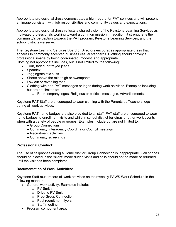Appropriate professional dress demonstrates a high regard for PAT services and will present an image consistent with job responsibilities and community values and expectations.

Appropriate professional dress reflects a shared vision of the Keystone Learning Services as motivated professionals working toward a common mission. In addition, it strengthens the community's perception towards the PAT program, Keystone Learning Services, and the school districts we serve.

The Keystone Learning Services Board of Directors encourages appropriate dress that adheres to commonly accepted business casual standards. Clothing should convey a professional image by being coordinated, modest, and appropriate.

Clothing not appropriate includes, but is not limited to, the following:

- Torn, faded, or frayed jeans
- Spandex
- Jogging/athletic suits
- Shorts above the mid thigh or sweatpants
- Low cut or revealing tops
- Clothing with non-PAT messages or logos during work activities. Examples including, but are not limited to:
	- $\circ$  Beer company logos, Religious or political messages, Advertisements.

Keystone PAT Staff are encouraged to wear clothing with the Parents as Teachers logo during all work activities.

Keystone PAT name badges are also provided to all staff. PAT staff are encouraged to wear name badges to enrollment visits and while in school district buildings or other work events when with a variety of people or groups. Examples include but are not limited to:

- Group Connections
- Community Interagency Coordinator Council meetings
- Recruitment activities
- Community screenings

## **Professional Conduct:**

The use of cellphones during a Home Visit or Group Connection is inappropriate. Cell phones should be placed in the "silent" mode during visits and calls should not be made or returned until the visit has been completed.

#### **Documentation of Work Activities:**

Keystone Staff must record all work activities on their weekly PAWS Work Schedule in the following manner:

- General work activity. Examples include:
	- o PV Smith
	- o Drive to PV Smith
	- o Prep Group Connection
	- o Post recruitment flyers
	- o Staff meeting
- Program component area: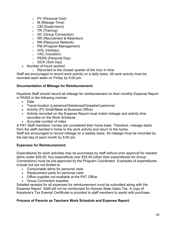- o PV (Personal Visit)
- o M (Mileage Time)
- o CM (Supervision)
- $\circ$  TR (Training)
- o GC (Group Connection)
- o RR (Recruitment & Retention)
- o RN (Resource Network)
- o PM (Program Management)
- o HOL (Holiday)
- o VAC (Vacation)
- o PERS (Personal Day)
- o SICK (Sick Day)
- Number of hours worked
	- $\circ$  Recorded to the closest quarter of the hour in time

Staff are encouraged to record work activity on a daily basis. All work activity must be recorded each week on Friday by 5:00 pm.

## **Documentation of Mileage for Reimbursement:**

Keystone Staff should record all mileage for reimbursement on their monthly Expense Report in PAWS in the following manner:

- Date
- Travel location (Lawrence/Oskaloosa/Ozawkie/Lawrence)
- Activity (PV Smith/Meet at Business Office)
- Activity recorded on the Expense Report must match mileage and activity time recorded on the Work Schedule
- Accurate number of miles

A PAT Staff members' homes are considered their home base. Therefore, mileage starts from the staff member's home to the work activity and return to the home.

Staff are encouraged to record mileage on a weekly basis. All mileage must be recorded by the last day of each month by 5:00 pm.

## **Expenses for Reimbursement:**

Expenditures for work activities may be purchased by staff without prior approval for needed items under \$25.00. Any expenditure over \$25.00 (other than expenditures for Group Connections) must be pre-approved by the Program Coordinator. Examples of expenditures include but are not limited to:

- Consumable items for personal visits
- Replacement parts for personal visits
- Office supplies not available at the PAT Office
- Group Connection supplies

Detailed receipts for all expenses for reimbursement must be submitted along with the Expense Report. Staff will not be reimbursed for Kansas State Sales Tax. A copy of Keystone's Tax Exempt Certificate is provided to staff members to assist with purchase.

## **Process of Parents as Teachers Work Schedule and Expense Report:**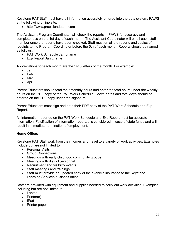Keystone PAT Staff must have all information accurately entered into the data system: PAWS at the following online site:

• http://www.precisiondatam.com

The Assistant Program Coordinator will check the reports in PAWS for accuracy and completeness on the 1st day of each month. The Assistant Coordinator will email each staff member once the reports have been checked. Staff must email the reports and copies of receipts to the Program Coordinator before the 5th of each month. Reports should be named as follows:

- PAT Work Schedule Jan Lname
- Exp Report Jan Lname

Abbreviations for each month are the 1st 3 letters of the month. For example:

- Jan
- Feb
- Mar
- Apr

Parent Educators should total their monthly hours and enter the total hours under the weekly hours on the PDF copy of the PAT Work Schedule. Leave dates and total days should be entered on the PDF copy under the signature.

Parent Educators must sign and date their PDF copy of the PAT Work Schedule and Exp Report.

All information reported on the PAT Work Schedule and Exp Report must be accurate information. Falsification of information reported is considered misuse of state funds and will result in immediate termination of employment.

## **Home Office:**

Keystone PAT Staff work from their homes and travel to a variety of work activities. Examples include but are not limited to:

- Personal Visits
- Group Connections
- Meetings with early childhood community groups
- Meetings with district personnel
- Recruitment and visibility events
- Staff meetings and trainings
- Staff must provide an updated copy of their vehicle insurance to the Keystone Learning Services business office.

Staff are provided with equipment and supplies needed to carry out work activities. Examples including but are not limited to:

- Laptop
- Printer(s)
- IPad
- Printer paper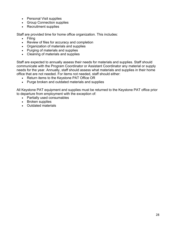- Personal Visit supplies
- Group Connection supplies
- Recruitment supplies

Staff are provided time for home office organization. This includes:

- Filing
- Review of files for accuracy and completion
- Organization of materials and supplies
- Purging of materials and supplies
- Cleaning of materials and supplies

Staff are expected to annually assess their needs for materials and supplies. Staff should communicate with the Program Coordinator or Assistant Coordinator any material or supply needs for the year. Annually, staff should assess what materials and supplies in their home office that are not needed. For items not needed, staff should either:

- Return items to the Keystone PAT Office OR
- Purge broken and outdated materials and supplies

All Keystone PAT equipment and supplies must be returned to the Keystone PAT office prior to departure from employment with the exception of:

- Partially used consumables
- Broken supplies
- Outdated materials